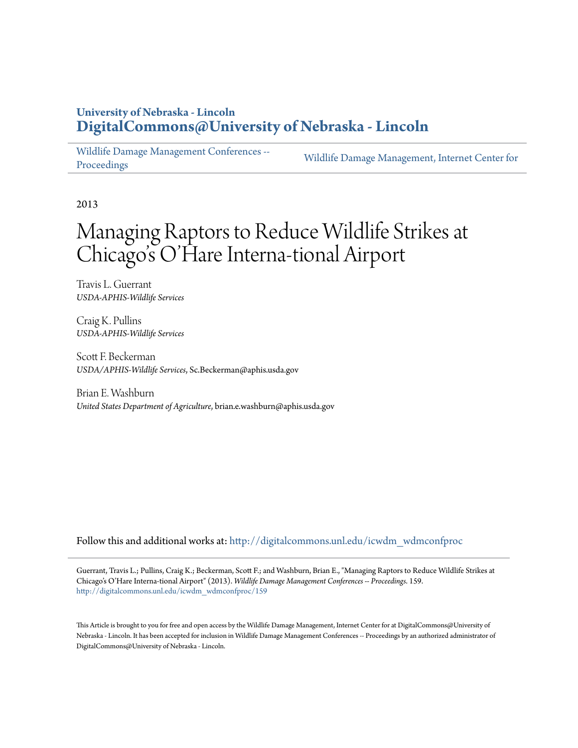## **University of Nebraska - Lincoln [DigitalCommons@University of Nebraska - Lincoln](http://digitalcommons.unl.edu?utm_source=digitalcommons.unl.edu%2Ficwdm_wdmconfproc%2F159&utm_medium=PDF&utm_campaign=PDFCoverPages)**

[Wildlife Damage Management Conferences --](http://digitalcommons.unl.edu/icwdm_wdmconfproc?utm_source=digitalcommons.unl.edu%2Ficwdm_wdmconfproc%2F159&utm_medium=PDF&utm_campaign=PDFCoverPages) [Proceedings](http://digitalcommons.unl.edu/icwdm_wdmconfproc?utm_source=digitalcommons.unl.edu%2Ficwdm_wdmconfproc%2F159&utm_medium=PDF&utm_campaign=PDFCoverPages)

[Wildlife Damage Management, Internet Center for](http://digitalcommons.unl.edu/icwdm?utm_source=digitalcommons.unl.edu%2Ficwdm_wdmconfproc%2F159&utm_medium=PDF&utm_campaign=PDFCoverPages)

2013

# Managing Raptors to Reduce Wildlife Strikes at Chicago 's O'Hare Interna-tional Airport

Travis L. Guerrant *USDA-APHIS-Wildlife Services*

Craig K. Pullins *USDA-APHIS-Wildlife Services*

Scott F. Beckerman *USDA/APHIS-Wildlife Services*, Sc.Beckerman@aphis.usda.gov

Brian E. Washburn *United States Department of Agriculture*, brian.e.washburn@aphis.usda.gov

Follow this and additional works at: [http://digitalcommons.unl.edu/icwdm\\_wdmconfproc](http://digitalcommons.unl.edu/icwdm_wdmconfproc?utm_source=digitalcommons.unl.edu%2Ficwdm_wdmconfproc%2F159&utm_medium=PDF&utm_campaign=PDFCoverPages)

Guerrant, Travis L.; Pullins, Craig K.; Beckerman, Scott F.; and Washburn, Brian E., "Managing Raptors to Reduce Wildlife Strikes at Chicago's O'Hare Interna-tional Airport" (2013). *Wildlife Damage Management Conferences -- Proceedings*. 159. [http://digitalcommons.unl.edu/icwdm\\_wdmconfproc/159](http://digitalcommons.unl.edu/icwdm_wdmconfproc/159?utm_source=digitalcommons.unl.edu%2Ficwdm_wdmconfproc%2F159&utm_medium=PDF&utm_campaign=PDFCoverPages)

This Article is brought to you for free and open access by the Wildlife Damage Management, Internet Center for at DigitalCommons@University of Nebraska - Lincoln. It has been accepted for inclusion in Wildlife Damage Management Conferences -- Proceedings by an authorized administrator of DigitalCommons@University of Nebraska - Lincoln.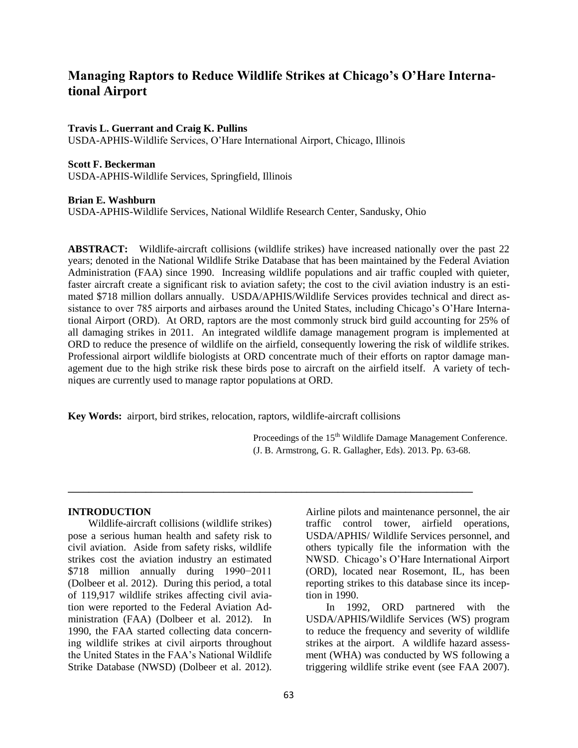### **Managing Raptors to Reduce Wildlife Strikes at Chicago's O'Hare International Airport**

#### **Travis L. Guerrant and Craig K. Pullins**

USDA-APHIS-Wildlife Services, O'Hare International Airport, Chicago, Illinois

#### **Scott F. Beckerman**

USDA-APHIS-Wildlife Services, Springfield, Illinois

#### **Brian E. Washburn**

USDA-APHIS-Wildlife Services, National Wildlife Research Center, Sandusky, Ohio

**ABSTRACT:** Wildlife-aircraft collisions (wildlife strikes) have increased nationally over the past 22 years; denoted in the National Wildlife Strike Database that has been maintained by the Federal Aviation Administration (FAA) since 1990. Increasing wildlife populations and air traffic coupled with quieter, faster aircraft create a significant risk to aviation safety; the cost to the civil aviation industry is an estimated \$718 million dollars annually. USDA/APHIS/Wildlife Services provides technical and direct assistance to over 785 airports and airbases around the United States, including Chicago's O'Hare International Airport (ORD). At ORD, raptors are the most commonly struck bird guild accounting for 25% of all damaging strikes in 2011. An integrated wildlife damage management program is implemented at ORD to reduce the presence of wildlife on the airfield, consequently lowering the risk of wildlife strikes. Professional airport wildlife biologists at ORD concentrate much of their efforts on raptor damage management due to the high strike risk these birds pose to aircraft on the airfield itself. A variety of techniques are currently used to manage raptor populations at ORD.

**Key Words:** airport, bird strikes, relocation, raptors, wildlife-aircraft collisions

**\_\_\_\_\_\_\_\_\_\_\_\_\_\_\_\_\_\_\_\_\_\_\_\_\_\_\_\_\_\_\_\_\_\_\_\_\_\_\_\_\_\_\_\_\_\_\_\_\_\_\_\_\_\_\_\_\_\_\_\_\_\_\_\_\_\_\_\_\_\_\_\_\_\_\_\_\_\_**

Proceedings of the 15<sup>th</sup> Wildlife Damage Management Conference. (J. B. Armstrong, G. R. Gallagher, Eds). 2013. Pp. 63-68.

#### **INTRODUCTION**

Wildlife-aircraft collisions (wildlife strikes) pose a serious human health and safety risk to civil aviation. Aside from safety risks, wildlife strikes cost the aviation industry an estimated \$718 million annually during 1990−2011 (Dolbeer et al. 2012). During this period, a total of 119,917 wildlife strikes affecting civil aviation were reported to the Federal Aviation Administration (FAA) (Dolbeer et al. 2012). In 1990, the FAA started collecting data concerning wildlife strikes at civil airports throughout the United States in the FAA's National Wildlife Strike Database (NWSD) (Dolbeer et al. 2012).

Airline pilots and maintenance personnel, the air traffic control tower, airfield operations, USDA/APHIS/ Wildlife Services personnel, and others typically file the information with the NWSD. Chicago's O'Hare International Airport (ORD), located near Rosemont, IL, has been reporting strikes to this database since its inception in 1990.

In 1992, ORD partnered with the USDA/APHIS/Wildlife Services (WS) program to reduce the frequency and severity of wildlife strikes at the airport. A wildlife hazard assessment (WHA) was conducted by WS following a triggering wildlife strike event (see FAA 2007).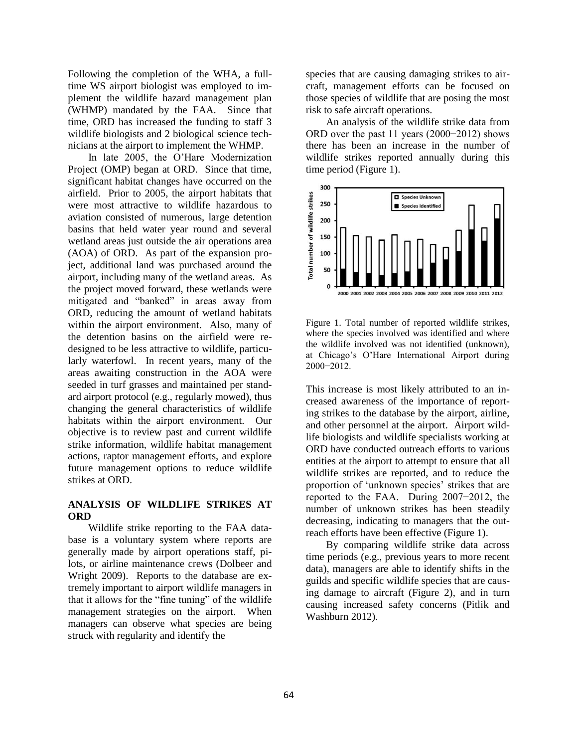Following the completion of the WHA, a fulltime WS airport biologist was employed to implement the wildlife hazard management plan (WHMP) mandated by the FAA. Since that time, ORD has increased the funding to staff 3 wildlife biologists and 2 biological science technicians at the airport to implement the WHMP.

In late 2005, the O'Hare Modernization Project (OMP) began at ORD. Since that time, significant habitat changes have occurred on the airfield. Prior to 2005, the airport habitats that were most attractive to wildlife hazardous to aviation consisted of numerous, large detention basins that held water year round and several wetland areas just outside the air operations area (AOA) of ORD. As part of the expansion project, additional land was purchased around the airport, including many of the wetland areas. As the project moved forward, these wetlands were mitigated and "banked" in areas away from ORD, reducing the amount of wetland habitats within the airport environment. Also, many of the detention basins on the airfield were redesigned to be less attractive to wildlife, particularly waterfowl. In recent years, many of the areas awaiting construction in the AOA were seeded in turf grasses and maintained per standard airport protocol (e.g., regularly mowed), thus changing the general characteristics of wildlife habitats within the airport environment. Our objective is to review past and current wildlife strike information, wildlife habitat management actions, raptor management efforts, and explore future management options to reduce wildlife strikes at ORD.

#### **ANALYSIS OF WILDLIFE STRIKES AT ORD**

Wildlife strike reporting to the FAA database is a voluntary system where reports are generally made by airport operations staff, pilots, or airline maintenance crews (Dolbeer and Wright 2009). Reports to the database are extremely important to airport wildlife managers in that it allows for the "fine tuning" of the wildlife management strategies on the airport. When managers can observe what species are being struck with regularity and identify the

species that are causing damaging strikes to aircraft, management efforts can be focused on those species of wildlife that are posing the most risk to safe aircraft operations.

An analysis of the wildlife strike data from ORD over the past 11 years (2000−2012) shows there has been an increase in the number of wildlife strikes reported annually during this time period (Figure 1).



Figure 1. Total number of reported wildlife strikes, where the species involved was identified and where the wildlife involved was not identified (unknown), at Chicago's O'Hare International Airport during 2000−2012.

This increase is most likely attributed to an increased awareness of the importance of reporting strikes to the database by the airport, airline, and other personnel at the airport. Airport wildlife biologists and wildlife specialists working at ORD have conducted outreach efforts to various entities at the airport to attempt to ensure that all wildlife strikes are reported, and to reduce the proportion of 'unknown species' strikes that are reported to the FAA. During 2007−2012, the number of unknown strikes has been steadily decreasing, indicating to managers that the outreach efforts have been effective (Figure 1).

By comparing wildlife strike data across time periods (e.g., previous years to more recent data), managers are able to identify shifts in the guilds and specific wildlife species that are causing damage to aircraft (Figure 2), and in turn causing increased safety concerns (Pitlik and Washburn 2012).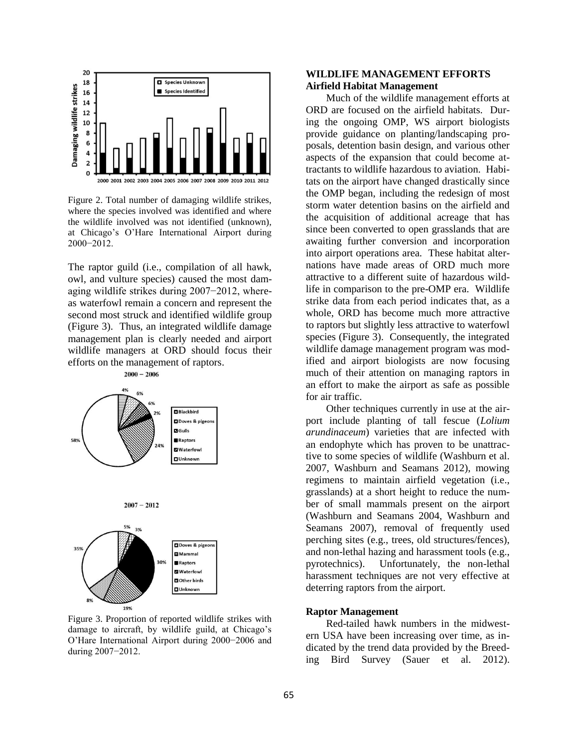

Figure 2. Total number of damaging wildlife strikes, where the species involved was identified and where the wildlife involved was not identified (unknown), at Chicago's O'Hare International Airport during 2000−2012.

The raptor guild (i.e., compilation of all hawk, owl, and vulture species) caused the most damaging wildlife strikes during 2007−2012, whereas waterfowl remain a concern and represent the second most struck and identified wildlife group (Figure 3). Thus, an integrated wildlife damage management plan is clearly needed and airport wildlife managers at ORD should focus their efforts on the management of raptors.



Figure 3. Proportion of reported wildlife strikes with damage to aircraft, by wildlife guild, at Chicago's O'Hare International Airport during 2000−2006 and during 2007−2012.

#### **WILDLIFE MANAGEMENT EFFORTS Airfield Habitat Management**

Much of the wildlife management efforts at ORD are focused on the airfield habitats. During the ongoing OMP, WS airport biologists provide guidance on planting/landscaping proposals, detention basin design, and various other aspects of the expansion that could become attractants to wildlife hazardous to aviation. Habitats on the airport have changed drastically since the OMP began, including the redesign of most storm water detention basins on the airfield and the acquisition of additional acreage that has since been converted to open grasslands that are awaiting further conversion and incorporation into airport operations area. These habitat alternations have made areas of ORD much more attractive to a different suite of hazardous wildlife in comparison to the pre-OMP era. Wildlife strike data from each period indicates that, as a whole, ORD has become much more attractive to raptors but slightly less attractive to waterfowl species (Figure 3). Consequently, the integrated wildlife damage management program was modified and airport biologists are now focusing much of their attention on managing raptors in an effort to make the airport as safe as possible for air traffic.

Other techniques currently in use at the airport include planting of tall fescue (*Lolium arundinaceum*) varieties that are infected with an endophyte which has proven to be unattractive to some species of wildlife (Washburn et al. 2007, Washburn and Seamans 2012), mowing regimens to maintain airfield vegetation (i.e., grasslands) at a short height to reduce the number of small mammals present on the airport (Washburn and Seamans 2004, Washburn and Seamans 2007), removal of frequently used perching sites (e.g., trees, old structures/fences), and non-lethal hazing and harassment tools (e.g., pyrotechnics). Unfortunately, the non-lethal harassment techniques are not very effective at deterring raptors from the airport.

#### **Raptor Management**

Red-tailed hawk numbers in the midwestern USA have been increasing over time, as indicated by the trend data provided by the Breeding Bird Survey (Sauer et al. 2012).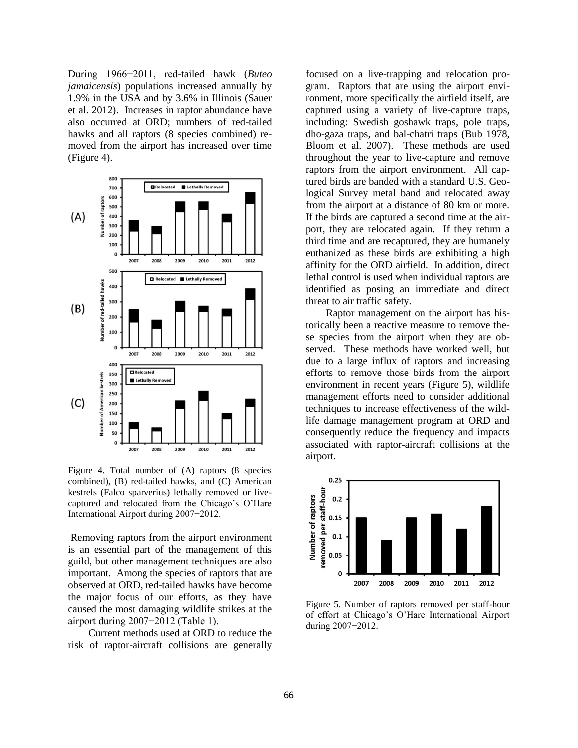During 1966−2011, red-tailed hawk (*Buteo jamaicensis*) populations increased annually by 1.9% in the USA and by 3.6% in Illinois (Sauer et al. 2012). Increases in raptor abundance have also occurred at ORD; numbers of red-tailed hawks and all raptors  $(8 \text{ species combined})$  removed from the airport has increased over time (Figure 4).



Figure 4. Total number of (A) raptors (8 species combined), (B) red-tailed hawks, and (C) American kestrels (Falco sparverius) lethally removed or livecaptured and relocated from the Chicago's O'Hare International Airport during 2007−2012.

Removing raptors from the airport environment is an essential part of the management of this guild, but other management techniques are also important. Among the species of raptors that are observed at ORD, red-tailed hawks have become the major focus of our efforts, as they have caused the most damaging wildlife strikes at the airport during 2007−2012 (Table 1).

Current methods used at ORD to reduce the risk of raptor-aircraft collisions are generally

focused on a live-trapping and relocation program. Raptors that are using the airport environment, more specifically the airfield itself, are captured using a variety of live-capture traps, including: Swedish goshawk traps, pole traps, dho-gaza traps, and bal-chatri traps (Bub 1978, Bloom et al. 2007). These methods are used throughout the year to live-capture and remove raptors from the airport environment. All captured birds are banded with a standard U.S. Geological Survey metal band and relocated away from the airport at a distance of 80 km or more. If the birds are captured a second time at the airport, they are relocated again. If they return a third time and are recaptured, they are humanely euthanized as these birds are exhibiting a high affinity for the ORD airfield. In addition, direct lethal control is used when individual raptors are identified as posing an immediate and direct threat to air traffic safety.

Raptor management on the airport has historically been a reactive measure to remove these species from the airport when they are observed. These methods have worked well, but due to a large influx of raptors and increasing efforts to remove those birds from the airport environment in recent years (Figure 5), wildlife management efforts need to consider additional techniques to increase effectiveness of the wildlife damage management program at ORD and consequently reduce the frequency and impacts associated with raptor-aircraft collisions at the airport.



Figure 5. Number of raptors removed per staff-hour of effort at Chicago's O'Hare International Airport during 2007−2012.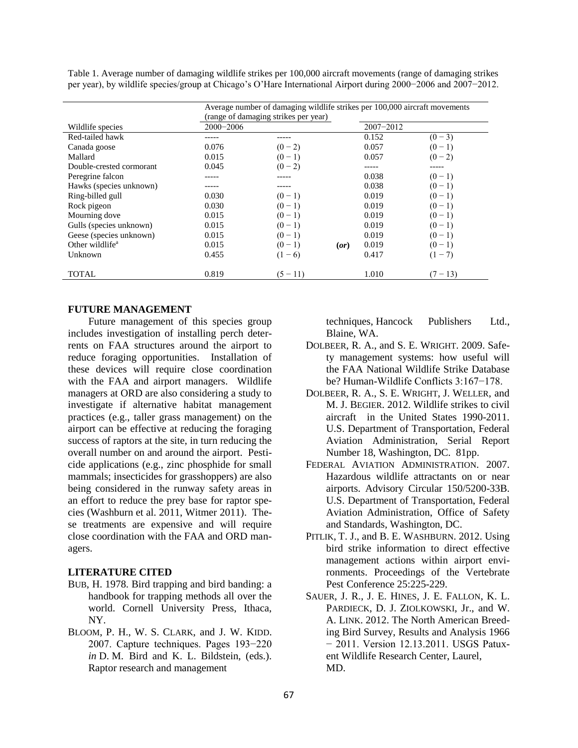Table 1. Average number of damaging wildlife strikes per 100,000 aircraft movements (range of damaging strikes per year), by wildlife species/group at Chicago's O'Hare International Airport during 2000−2006 and 2007−2012.

|                             | Average number of damaging wildlife strikes per 100,000 aircraft movements |              |               |            |
|-----------------------------|----------------------------------------------------------------------------|--------------|---------------|------------|
|                             | (range of damaging strikes per year)                                       |              |               |            |
| Wildlife species            | $2000 - 2006$                                                              |              | $2007 - 2012$ |            |
| Red-tailed hawk             |                                                                            |              | 0.152         | $(0 - 3)$  |
| Canada goose                | 0.076                                                                      | $(0-2)$      | 0.057         | $(0-1)$    |
| Mallard                     | 0.015                                                                      | $(0-1)$      | 0.057         | $(0-2)$    |
| Double-crested cormorant    | 0.045                                                                      | $(0-2)$      |               |            |
| Peregrine falcon            |                                                                            |              | 0.038         | $(0-1)$    |
| Hawks (species unknown)     |                                                                            |              | 0.038         | $(0-1)$    |
| Ring-billed gull            | 0.030                                                                      | $(0-1)$      | 0.019         | $(0-1)$    |
| Rock pigeon                 | 0.030                                                                      | $(0-1)$      | 0.019         | $(0-1)$    |
| Mourning dove               | 0.015                                                                      | $(0-1)$      | 0.019         | $(0-1)$    |
| Gulls (species unknown)     | 0.015                                                                      | $(0-1)$      | 0.019         | $(0-1)$    |
| Geese (species unknown)     | 0.015                                                                      | $(0-1)$      | 0.019         | $(0-1)$    |
| Other wildlife <sup>a</sup> | 0.015                                                                      | $(0-1)$<br>( | 0.019         | $(0-1)$    |
| Unknown                     | 0.455                                                                      | $-6)$        | 0.417         | $(1 - 7)$  |
|                             |                                                                            |              |               |            |
| <b>TOTAL</b>                | 0.819                                                                      | $(5 - 11)$   | 1.010         | $(7 - 13)$ |

#### **FUTURE MANAGEMENT**

Future management of this species group includes investigation of installing perch deterrents on FAA structures around the airport to reduce foraging opportunities. Installation of these devices will require close coordination with the FAA and airport managers. Wildlife managers at ORD are also considering a study to investigate if alternative habitat management practices (e.g., taller grass management) on the airport can be effective at reducing the foraging success of raptors at the site, in turn reducing the overall number on and around the airport. Pesticide applications (e.g., zinc phosphide for small mammals; insecticides for grasshoppers) are also being considered in the runway safety areas in an effort to reduce the prey base for raptor species (Washburn et al. 2011, Witmer 2011). These treatments are expensive and will require close coordination with the FAA and ORD managers.

#### **LITERATURE CITED**

- BUB, H. 1978. Bird trapping and bird banding: a handbook for trapping methods all over the world. Cornell University Press, Ithaca, NY.
- BLOOM, P. H., W. S. CLARK, and J. W. KIDD. 2007. Capture techniques. Pages 193−220 *in* D. M. Bird and K. L. Bildstein, (eds.). Raptor research and management

techniques, Hancock Publishers Ltd., Blaine, WA.

- DOLBEER, R. A., and S. E. WRIGHT. 2009. Safety management systems: how useful will the FAA National Wildlife Strike Database be? Human-Wildlife Conflicts 3:167−178.
- DOLBEER, R. A., S. E. WRIGHT, J. WELLER, and M. J. BEGIER. 2012. Wildlife strikes to civil aircraft in the United States 1990-2011. U.S. Department of Transportation, Federal Aviation Administration, Serial Report Number 18, Washington, DC. 81pp.
- FEDERAL AVIATION ADMINISTRATION. 2007. Hazardous wildlife attractants on or near airports. Advisory Circular 150/5200-33B. U.S. Department of Transportation, Federal Aviation Administration, Office of Safety and Standards, Washington, DC.
- PITLIK, T. J., and B. E. WASHBURN. 2012. Using bird strike information to direct effective management actions within airport environments. Proceedings of the Vertebrate Pest Conference 25:225-229.
- SAUER, J. R., J. E. HINES, J. E. FALLON, K. L. PARDIECK, D. J. ZIOLKOWSKI, Jr., and W. A. LINK. 2012. The North American Breeding Bird Survey, Results and Analysis 1966 − 2011. Version 12.13.2011. USGS Patuxent Wildlife Research Center, Laurel, MD.